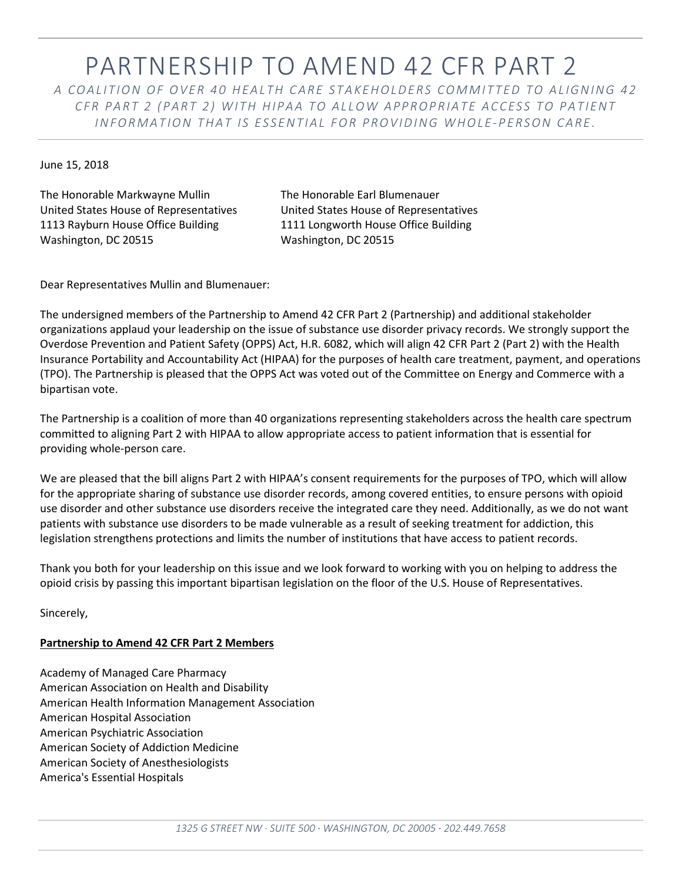## PARTNERSHIP TO AMEND 42 CFR PART 2

*A COALITION OF OVER 40 HEALTH CARE STAKEHOLDERS COMMITTED TO ALIGNING 42 CFR PART 2 (PART 2) WITH HIPAA TO ALLOW APPROPRIATE ACCESS TO PATIENT INFORMATION THAT IS ESSENTIAL FOR PROVIDING WHOLE-PERSON CARE.*

June 15, 2018

The Honorable Markwayne Mullin The Honorable Earl Blumenauer United States House of Representatives United States House of Representatives 1113 Rayburn House Office Building 1111 Longworth House Office Building Washington, DC 20515 Washington, DC 20515

Dear Representatives Mullin and Blumenauer:

The undersigned members of the Partnership to Amend 42 CFR Part 2 (Partnership) and additional stakeholder organizations applaud your leadership on the issue of substance use disorder privacy records. We strongly support the Overdose Prevention and Patient Safety (OPPS) Act, H.R. 6082, which will align 42 CFR Part 2 (Part 2) with the Health Insurance Portability and Accountability Act (HIPAA) for the purposes of health care treatment, payment, and operations (TPO). The Partnership is pleased that the OPPS Act was voted out of the Committee on Energy and Commerce with a bipartisan vote.

The Partnership is a coalition of more than 40 organizations representing stakeholders across the health care spectrum committed to aligning Part 2 with HIPAA to allow appropriate access to patient information that is essential for providing whole-person care.

We are pleased that the bill aligns Part 2 with HIPAA's consent requirements for the purposes of TPO, which will allow for the appropriate sharing of substance use disorder records, among covered entities, to ensure persons with opioid use disorder and other substance use disorders receive the integrated care they need. Additionally, as we do not want patients with substance use disorders to be made vulnerable as a result of seeking treatment for addiction, this legislation strengthens protections and limits the number of institutions that have access to patient records.

Thank you both for your leadership on this issue and we look forward to working with you on helping to address the opioid crisis by passing this important bipartisan legislation on the floor of the U.S. House of Representatives.

Sincerely,

## **Partnership to Amend 42 CFR Part 2 Members**

Academy of Managed Care Pharmacy American Association on Health and Disability American Health Information Management Association American Hospital Association American Psychiatric Association American Society of Addiction Medicine American Society of Anesthesiologists America's Essential Hospitals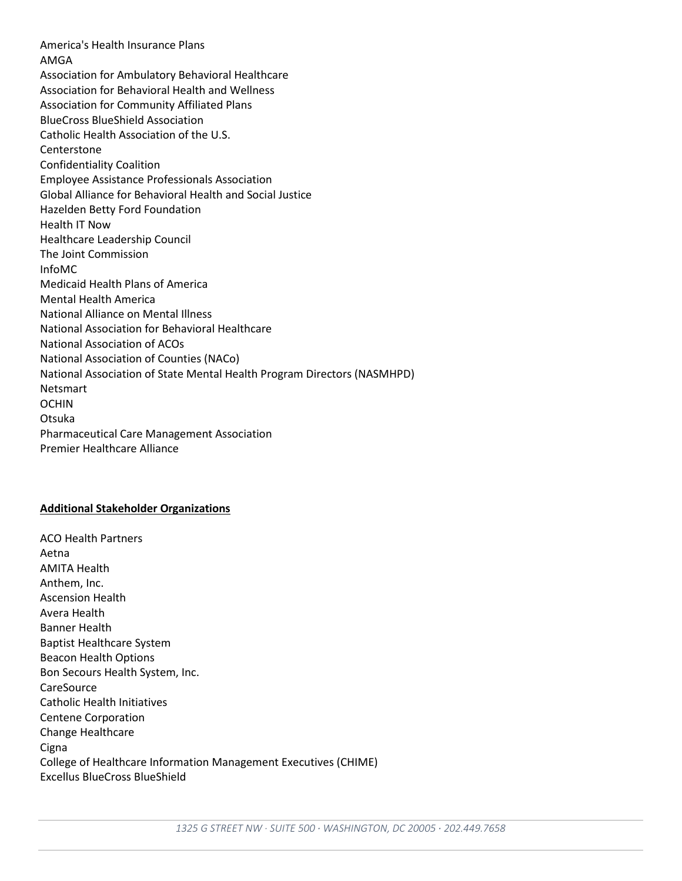America's Health Insurance Plans AMGA Association for Ambulatory Behavioral Healthcare Association for Behavioral Health and Wellness Association for Community Affiliated Plans BlueCross BlueShield Association Catholic Health Association of the U.S. Centerstone Confidentiality Coalition Employee Assistance Professionals Association Global Alliance for Behavioral Health and Social Justice Hazelden Betty Ford Foundation Health IT Now Healthcare Leadership Council The Joint Commission InfoMC Medicaid Health Plans of America Mental Health America National Alliance on Mental Illness National Association for Behavioral Healthcare National Association of ACOs National Association of Counties (NACo) National Association of State Mental Health Program Directors (NASMHPD) Netsmart OCHIN Otsuka Pharmaceutical Care Management Association Premier Healthcare Alliance

## **Additional Stakeholder Organizations**

ACO Health Partners Aetna AMITA Health Anthem, Inc. Ascension Health Avera Health Banner Health Baptist Healthcare System Beacon Health Options Bon Secours Health System, Inc. **CareSource** Catholic Health Initiatives Centene Corporation Change Healthcare **Cigna** College of Healthcare Information Management Executives (CHIME) Excellus BlueCross BlueShield